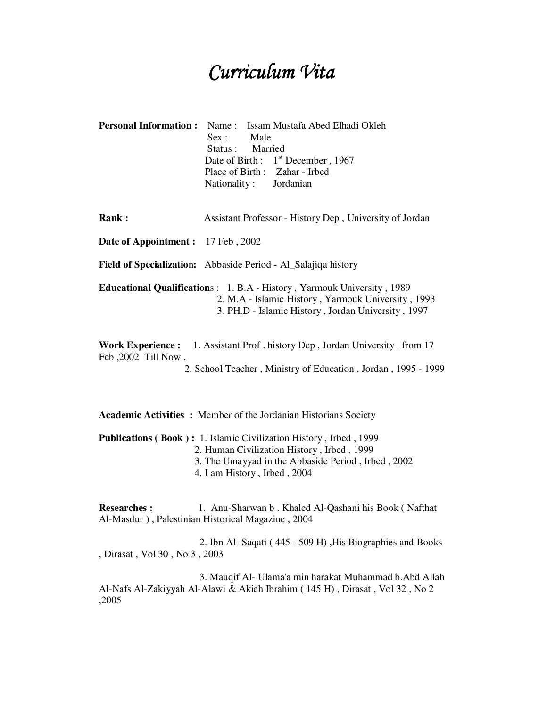## Curriculum Vita

| <b>Personal Information:</b>                                                                                                                                                                                                                                                                                                                                            | Issam Mustafa Abed Elhadi Okleh<br>Name:<br>Male<br>Sex:<br>Married<br>Status :<br>Date of Birth: 1 <sup>st</sup> December, 1967<br>Place of Birth: Zahar - Irbed<br>Nationality: Jordanian |
|-------------------------------------------------------------------------------------------------------------------------------------------------------------------------------------------------------------------------------------------------------------------------------------------------------------------------------------------------------------------------|---------------------------------------------------------------------------------------------------------------------------------------------------------------------------------------------|
| Rank:                                                                                                                                                                                                                                                                                                                                                                   | Assistant Professor - History Dep, University of Jordan                                                                                                                                     |
| <b>Date of Appointment:</b>                                                                                                                                                                                                                                                                                                                                             | 17 Feb, 2002                                                                                                                                                                                |
|                                                                                                                                                                                                                                                                                                                                                                         | Field of Specialization: Abbaside Period - Al_Salajiqa history                                                                                                                              |
| <b>Educational Qualifications: 1. B.A - History, Yarmouk University, 1989</b><br>2. M.A - Islamic History, Yarmouk University, 1993<br>3. PH.D - Islamic History, Jordan University, 1997<br><b>Work Experience:</b> 1. Assistant Prof. history Dep, Jordan University. from 17<br>Feb, 2002 Till Now.<br>2. School Teacher, Ministry of Education, Jordan, 1995 - 1999 |                                                                                                                                                                                             |
| Academic Activities: Member of the Jordanian Historians Society<br><b>Publications (Book):</b> 1. Islamic Civilization History, Irbed, 1999<br>2. Human Civilization History, Irbed, 1999<br>3. The Umayyad in the Abbaside Period, Irbed, 2002<br>4. I am History, Irbed, 2004                                                                                         |                                                                                                                                                                                             |
| <b>Researches:</b><br>, Dirasat , Vol 30 , No 3 , 2003                                                                                                                                                                                                                                                                                                                  | 1. Anu-Sharwan b. Khaled Al-Qashani his Book (Nafthat<br>Al-Masdur), Palestinian Historical Magazine, 2004<br>2. Ibn Al- Saqati (445 - 509 H), His Biographies and Books                    |

 3. Mauqif Al- Ulama'a min harakat Muhammad b.Abd Allah Al-Nafs Al-Zakiyyah Al-Alawi & Akieh Ibrahim ( 145 H) , Dirasat , Vol 32 , No 2 ,2005